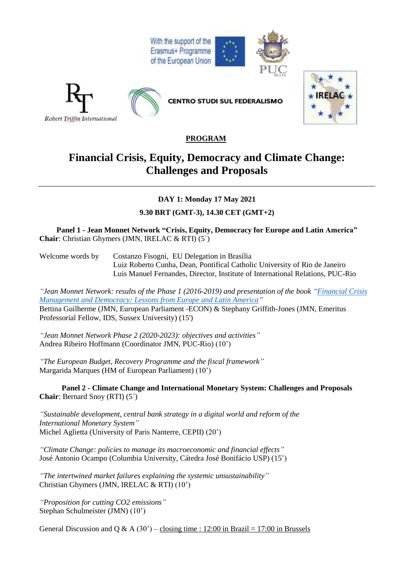



## **PROGRAM**

# **Financial Crisis, Equity, Democracy and Climate Change: Challenges and Proposals**

**DAY 1: Monday 17 May 2021**

**9.30 BRT (GMT-3), 14.30 CET (GMT+2)**

**Panel 1 - Jean Monnet Network "Crisis, Equity, Democracy for Europe and Latin America" Chair**: Christian Ghymers (JMN, IRELAC & RTI) (5`)

Welcome words by Costanzo Fisogni, EU Delegation in Brasília Luiz Roberto Cunha, Dean, Pontifical Catholic University of Rio de Janeiro Luis Manuel Fernandes, Director, Institute of International Relations, PUC-Rio

*"Jean Monnet Network: results of the Phase 1 (2016-2019) and presentation of the book ["Financial](https://link.springer.com/book/10.1007%2F978-3-030-54895-7) Crisis [Management](https://link.springer.com/book/10.1007%2F978-3-030-54895-7) and Democracy: Lessons from Europe and Latin America"* Bettina Guilherme (JMN, European Parliament -ECON) & Stephany Griffith-Jones (JMN, Emeritus Professorial Fellow, IDS, Sussex University) (15')

*"Jean Monnet Network Phase 2 (2020-2023): objectives and activities"* Andrea Ribeiro Hoffmann (Coordinator JMN, PUC-Rio) (10')

*"The European Budget, Recovery Programme and the fiscal framework"* Margarida Marques (HM of European Parliament) (10')

**Panel 2 - Climate Change and International Monetary System: Challenges and Proposals Chair**: Bernard Snoy (RTI) (5´)

*"Sustainable development, central bank strategy in a digital world and reform of the International Monetary System"* Michel Aglietta (University of Paris Nanterre, CEPII) (20')

*"Climate Change: policies to manage its macroeconomic and financial effects"* José Antonio Ocampo (Columbia University, Cátedra José Bonifácio USP) (15')

*"The intertwined market failures explaining the systemic unsustainability"* Christian Ghymers (JMN, IRELAC & RTI) (10')

*"Proposition for cutting CO2 emissions"* Stephan Schulmeister (JMN) (10')

General Discussion and Q & A (30') – closing time : 12:00 in Brazil = 17:00 in Brussels